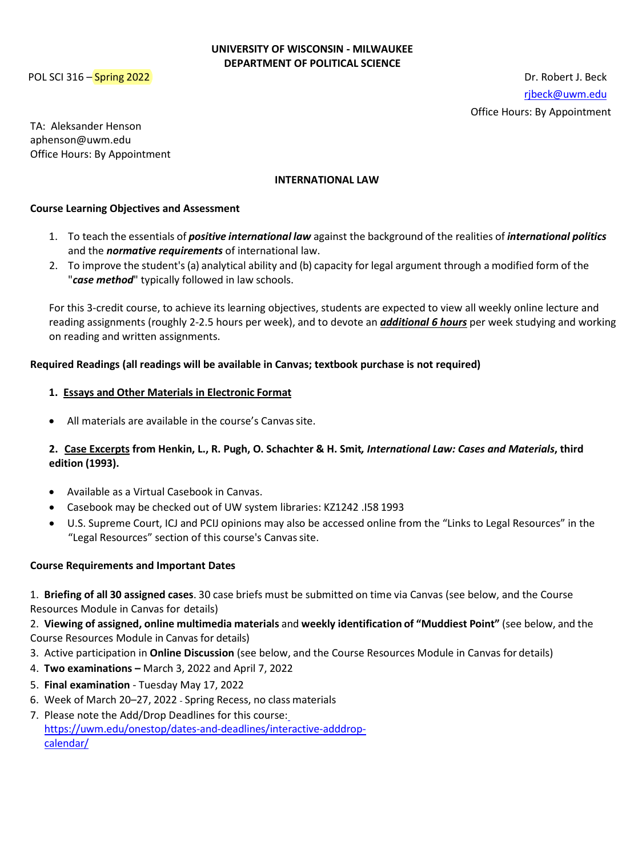#### **UNIVERSITY OF WISCONSIN - MILWAUKEE DEPARTMENT OF POLITICAL SCIENCE**

POL SCI 316 – Spring 2022 **Dr. Robert J. Beck** [rjbeck@uwm.edu](mailto:rjbeck@uwm.edu) Office Hours: By Appointment

TA: Aleksander Henson aphenson@uwm.edu Office Hours: By Appointment

#### **INTERNATIONAL LAW**

#### **Course Learning Objectives and Assessment**

- 1. To teach the essentials of *positive international law* against the background of the realities of *international politics* and the *normative requirements* of international law.
- 2. To improve the student's (a) analytical ability and (b) capacity for legal argument through a modified form of the "*case method*" typically followed in law schools.

For this 3-credit course, to achieve its learning objectives, students are expected to view all weekly online lecture and reading assignments (roughly 2-2.5 hours per week), and to devote an *additional 6 hours* per week studying and working on reading and written assignments.

#### **Required Readings (all readings will be available in Canvas; textbook purchase is not required)**

#### **1. Essays and Other Materials in Electronic Format**

All materials are available in the course's Canvas site.

### **2. Case Excerpts from Henkin, L., R. Pugh, O. Schachter & H. Smit***, International Law: Cases and Materials***, third edition (1993).**

- Available as a Virtual Casebook in Canvas.
- Casebook may be checked out of UW system libraries: KZ1242 .I58 1993
- U.S. Supreme Court, ICJ and PCIJ opinions may also be accessed online from the "Links to Legal Resources" in the "Legal Resources" section of this course's Canvas site.

#### **Course Requirements and Important Dates**

1. **Briefing of all 30 assigned cases**. 30 case briefs must be submitted on time via Canvas (see below, and the Course Resources Module in Canvas for details)

2. **Viewing of assigned, online multimedia materials** and **weekly identification of "Muddiest Point"** (see below, and the Course Resources Module in Canvas for details)

- 3. Active participation in **Online Discussion** (see below, and the Course Resources Module in Canvas for details)
- 4. **Two examinations –** March 3, 2022 and April 7, 2022
- 5. **Final examination**  Tuesday May 17, 2022
- 6. Week of March 20-27, 2022 Spring Recess, no class materials
- 7. Please note the Add/Drop Deadlines for this course[:](https://uwm.edu/onestop/dates-and-deadlines/interactive-adddrop-calendar/) [https://uwm.edu/onestop/dates-and-deadlines/interactive-adddrop](https://uwm.edu/onestop/dates-and-deadlines/interactive-adddrop-calendar/)[calendar/](https://uwm.edu/onestop/dates-and-deadlines/interactive-adddrop-calendar/)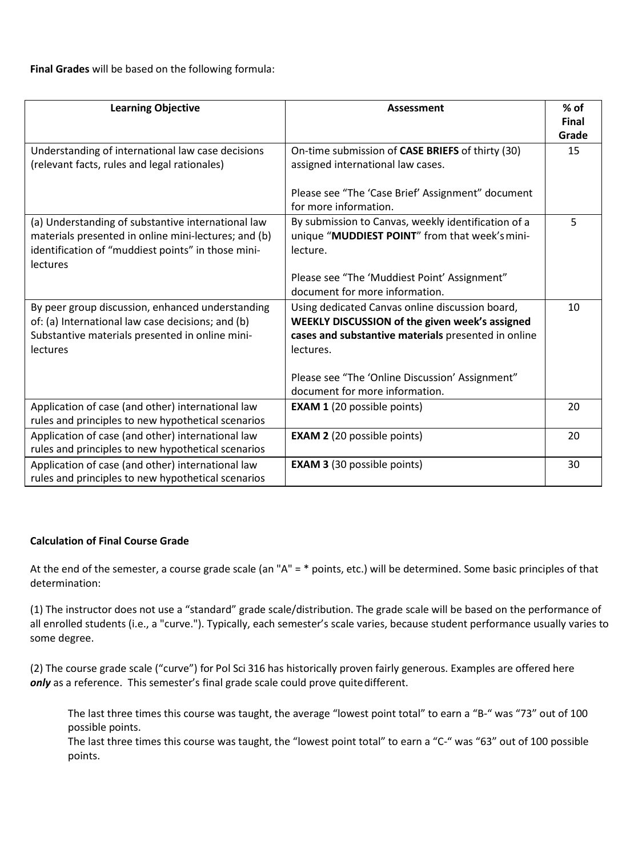**Final Grades** will be based on the following formula:

| <b>Learning Objective</b>                                                                                                                                                    | <b>Assessment</b>                                                                                                                                                     | $%$ of<br><b>Final</b><br>Grade |
|------------------------------------------------------------------------------------------------------------------------------------------------------------------------------|-----------------------------------------------------------------------------------------------------------------------------------------------------------------------|---------------------------------|
| Understanding of international law case decisions<br>(relevant facts, rules and legal rationales)                                                                            | On-time submission of CASE BRIEFS of thirty (30)<br>assigned international law cases.                                                                                 | 15                              |
|                                                                                                                                                                              | Please see "The 'Case Brief' Assignment" document<br>for more information.                                                                                            |                                 |
| (a) Understanding of substantive international law<br>materials presented in online mini-lectures; and (b)<br>identification of "muddiest points" in those mini-<br>lectures | By submission to Canvas, weekly identification of a<br>unique "MUDDIEST POINT" from that week's mini-<br>lecture.                                                     | 5                               |
|                                                                                                                                                                              | Please see "The 'Muddiest Point' Assignment"<br>document for more information.                                                                                        |                                 |
| By peer group discussion, enhanced understanding<br>of: (a) International law case decisions; and (b)<br>Substantive materials presented in online mini-<br>lectures         | Using dedicated Canvas online discussion board,<br>WEEKLY DISCUSSION of the given week's assigned<br>cases and substantive materials presented in online<br>lectures. | 10                              |
|                                                                                                                                                                              | Please see "The 'Online Discussion' Assignment"<br>document for more information.                                                                                     |                                 |
| Application of case (and other) international law<br>rules and principles to new hypothetical scenarios                                                                      | <b>EXAM 1</b> (20 possible points)                                                                                                                                    | 20                              |
| Application of case (and other) international law<br>rules and principles to new hypothetical scenarios                                                                      | <b>EXAM 2</b> (20 possible points)                                                                                                                                    | 20                              |
| Application of case (and other) international law<br>rules and principles to new hypothetical scenarios                                                                      | <b>EXAM 3 (30 possible points)</b>                                                                                                                                    | 30                              |

### **Calculation of Final Course Grade**

At the end of the semester, a course grade scale (an "A" = \* points, etc.) will be determined. Some basic principles of that determination:

(1) The instructor does not use a "standard" grade scale/distribution. The grade scale will be based on the performance of all enrolled students (i.e., a "curve."). Typically, each semester's scale varies, because student performance usually varies to some degree.

(2) The course grade scale ("curve") for Pol Sci 316 has historically proven fairly generous. Examples are offered here only as a reference. This semester's final grade scale could prove quite different.

The last three times this course was taught, the average "lowest point total" to earn a "B-" was "73" out of 100 possible points.

The last three times this course was taught, the "lowest point total" to earn a "C-" was "63" out of 100 possible points.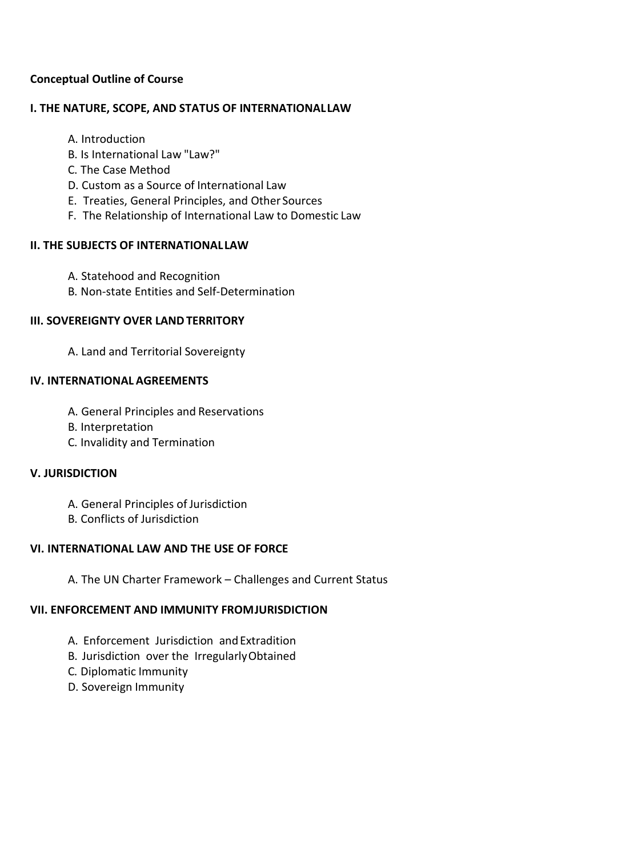# **Conceptual Outline of Course**

## **I. THE NATURE, SCOPE, AND STATUS OF INTERNATIONALLAW**

- A. Introduction
- B. Is International Law "Law?"
- C. The Case Method
- D. Custom as a Source of International Law
- E. Treaties, General Principles, and Other Sources
- F. The Relationship of International Law to Domestic Law

## **II. THE SUBJECTS OF INTERNATIONALLAW**

- A. Statehood and Recognition
- B. Non-state Entities and Self-Determination

# **III. SOVEREIGNTY OVER LANDTERRITORY**

A. Land and Territorial Sovereignty

## **IV. INTERNATIONAL AGREEMENTS**

- A. General Principles and Reservations
- B. Interpretation
- C. Invalidity and Termination

## **V. JURISDICTION**

- A. General Principles of Jurisdiction
- B. Conflicts of Jurisdiction

# **VI. INTERNATIONAL LAW AND THE USE OF FORCE**

A. The UN Charter Framework – Challenges and Current Status

### **VII. ENFORCEMENT AND IMMUNITY FROMJURISDICTION**

- A. Enforcement Jurisdiction andExtradition
- B. Jurisdiction over the IrregularlyObtained
- C. Diplomatic Immunity
- D. Sovereign Immunity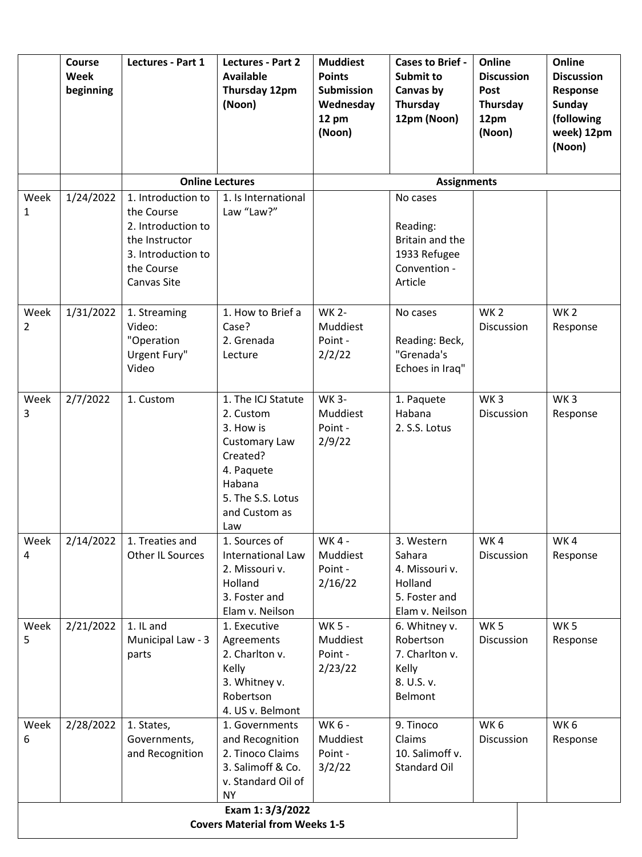|                      | Course<br>Week<br>beginning                               | Lectures - Part 1                                                                                                           | Lectures - Part 2<br><b>Available</b><br>Thursday 12pm<br>(Noon)                                                                               | <b>Muddiest</b><br><b>Points</b><br><b>Submission</b><br>Wednesday<br>12 pm<br>(Noon) | <b>Cases to Brief -</b><br>Submit to<br>Canvas by<br>Thursday<br>12pm (Noon)          | Online<br><b>Discussion</b><br>Post<br>Thursday<br>12pm<br>(Noon) | Online<br><b>Discussion</b><br>Response<br><b>Sunday</b><br>(following<br>week) 12pm<br>(Noon) |  |
|----------------------|-----------------------------------------------------------|-----------------------------------------------------------------------------------------------------------------------------|------------------------------------------------------------------------------------------------------------------------------------------------|---------------------------------------------------------------------------------------|---------------------------------------------------------------------------------------|-------------------------------------------------------------------|------------------------------------------------------------------------------------------------|--|
|                      |                                                           | <b>Online Lectures</b>                                                                                                      |                                                                                                                                                | <b>Assignments</b>                                                                    |                                                                                       |                                                                   |                                                                                                |  |
| Week<br>$\mathbf{1}$ | 1/24/2022                                                 | 1. Introduction to<br>the Course<br>2. Introduction to<br>the Instructor<br>3. Introduction to<br>the Course<br>Canvas Site | 1. Is International<br>Law "Law?"                                                                                                              |                                                                                       | No cases<br>Reading:<br>Britain and the<br>1933 Refugee<br>Convention -<br>Article    |                                                                   |                                                                                                |  |
| Week<br>2            | 1/31/2022                                                 | 1. Streaming<br>Video:<br>"Operation<br>Urgent Fury"<br>Video                                                               | 1. How to Brief a<br>Case?<br>2. Grenada<br>Lecture                                                                                            | <b>WK 2-</b><br>Muddiest<br>Point -<br>2/2/22                                         | No cases<br>Reading: Beck,<br>"Grenada's<br>Echoes in Iraq"                           | WK <sub>2</sub><br>Discussion                                     | WK <sub>2</sub><br>Response                                                                    |  |
| Week<br>3            | 2/7/2022                                                  | 1. Custom                                                                                                                   | 1. The ICJ Statute<br>2. Custom<br>3. How is<br>Customary Law<br>Created?<br>4. Paquete<br>Habana<br>5. The S.S. Lotus<br>and Custom as<br>Law | <b>WK 3-</b><br>Muddiest<br>Point -<br>2/9/22                                         | 1. Paquete<br>Habana<br>2. S.S. Lotus                                                 | WK <sub>3</sub><br>Discussion                                     | WK <sub>3</sub><br>Response                                                                    |  |
| Week<br>4            | 2/14/2022                                                 | 1. Treaties and<br>Other IL Sources                                                                                         | 1. Sources of<br>International Law<br>2. Missouri v.<br>Holland<br>3. Foster and<br>Elam v. Neilson                                            | WK 4 -<br>Muddiest<br>Point -<br>2/16/22                                              | 3. Western<br>Sahara<br>4. Missouri v.<br>Holland<br>5. Foster and<br>Elam v. Neilson | WK4<br>Discussion                                                 | WK4<br>Response                                                                                |  |
| Week<br>5            | 2/21/2022                                                 | 1. IL and<br>Municipal Law - 3<br>parts                                                                                     | 1. Executive<br>Agreements<br>2. Charlton v.<br>Kelly<br>3. Whitney v.<br>Robertson<br>4. US v. Belmont                                        | WK 5 -<br>Muddiest<br>Point -<br>2/23/22                                              | 6. Whitney v.<br>Robertson<br>7. Charlton v.<br>Kelly<br>8. U.S. v.<br>Belmont        | WK <sub>5</sub><br><b>Discussion</b>                              | WK <sub>5</sub><br>Response                                                                    |  |
| Week<br>6            | 2/28/2022                                                 | 1. States,<br>Governments,<br>and Recognition                                                                               | 1. Governments<br>and Recognition<br>2. Tinoco Claims<br>3. Salimoff & Co.<br>v. Standard Oil of<br><b>NY</b>                                  | WK 6 -<br>Muddiest<br>Point -<br>3/2/22                                               | 9. Tinoco<br>Claims<br>10. Salimoff v.<br><b>Standard Oil</b>                         | WK <sub>6</sub><br>Discussion                                     | WK <sub>6</sub><br>Response                                                                    |  |
|                      | Exam 1: 3/3/2022<br><b>Covers Material from Weeks 1-5</b> |                                                                                                                             |                                                                                                                                                |                                                                                       |                                                                                       |                                                                   |                                                                                                |  |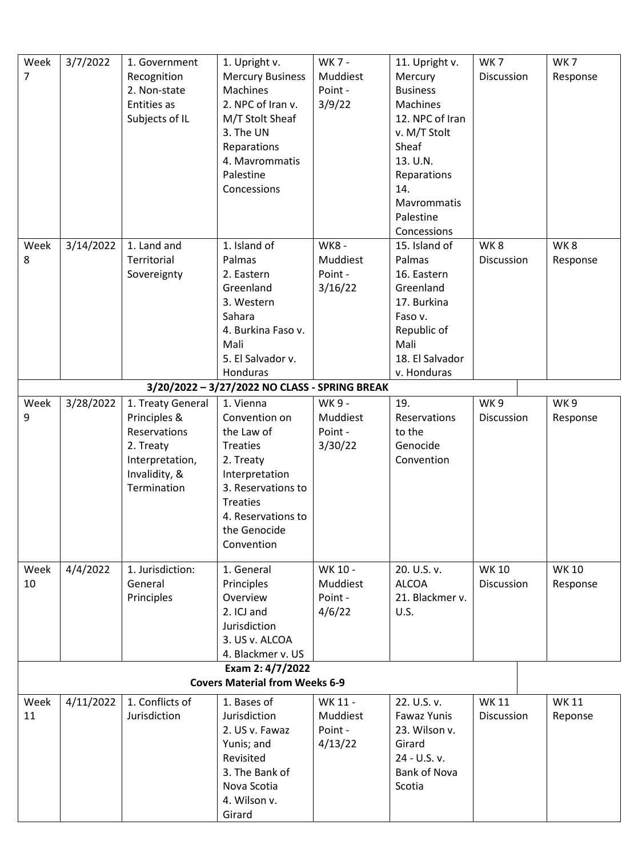| Week | 3/7/2022  | 1. Government     | 1. Upright v.                                 | WK 7 -      | 11. Upright v.      | WK <sub>7</sub>   | WK <sub>7</sub> |
|------|-----------|-------------------|-----------------------------------------------|-------------|---------------------|-------------------|-----------------|
| 7    |           | Recognition       | <b>Mercury Business</b>                       | Muddiest    | Mercury             | Discussion        | Response        |
|      |           | 2. Non-state      | <b>Machines</b>                               | Point -     | <b>Business</b>     |                   |                 |
|      |           | Entities as       | 2. NPC of Iran v.                             | 3/9/22      | Machines            |                   |                 |
|      |           | Subjects of IL    | M/T Stolt Sheaf                               |             | 12. NPC of Iran     |                   |                 |
|      |           |                   | 3. The UN                                     |             | v. M/T Stolt        |                   |                 |
|      |           |                   | Reparations                                   |             | Sheaf               |                   |                 |
|      |           |                   | 4. Mavrommatis                                |             | 13. U.N.            |                   |                 |
|      |           |                   | Palestine                                     |             | Reparations         |                   |                 |
|      |           |                   | Concessions                                   |             | 14.                 |                   |                 |
|      |           |                   |                                               |             | Mavrommatis         |                   |                 |
|      |           |                   |                                               |             | Palestine           |                   |                 |
|      |           |                   |                                               |             | Concessions         |                   |                 |
|      |           | 1. Land and       | 1. Island of                                  | <b>WK8-</b> |                     | WK8               | WK8             |
| Week | 3/14/2022 |                   |                                               |             | 15. Island of       |                   |                 |
| 8    |           | Territorial       | Palmas                                        | Muddiest    | Palmas              | <b>Discussion</b> | Response        |
|      |           | Sovereignty       | 2. Eastern                                    | Point -     | 16. Eastern         |                   |                 |
|      |           |                   | Greenland                                     | 3/16/22     | Greenland           |                   |                 |
|      |           |                   | 3. Western                                    |             | 17. Burkina         |                   |                 |
|      |           |                   | Sahara                                        |             | Faso v.             |                   |                 |
|      |           |                   | 4. Burkina Faso v.                            |             | Republic of         |                   |                 |
|      |           |                   | Mali                                          |             | Mali                |                   |                 |
|      |           |                   | 5. El Salvador v.                             |             | 18. El Salvador     |                   |                 |
|      |           |                   | Honduras                                      |             | v. Honduras         |                   |                 |
|      |           |                   | 3/20/2022 - 3/27/2022 NO CLASS - SPRING BREAK |             |                     |                   |                 |
| Week | 3/28/2022 | 1. Treaty General | 1. Vienna                                     | WK 9 -      | 19.                 | WK <sub>9</sub>   | WK9             |
| 9    |           | Principles &      | Convention on                                 | Muddiest    | Reservations        | Discussion        | Response        |
|      |           | Reservations      | the Law of                                    | Point -     | to the              |                   |                 |
|      |           | 2. Treaty         | <b>Treaties</b>                               | 3/30/22     | Genocide            |                   |                 |
|      |           | Interpretation,   | 2. Treaty                                     |             | Convention          |                   |                 |
|      |           | Invalidity, &     | Interpretation                                |             |                     |                   |                 |
|      |           | Termination       | 3. Reservations to                            |             |                     |                   |                 |
|      |           |                   | <b>Treaties</b>                               |             |                     |                   |                 |
|      |           |                   | 4. Reservations to                            |             |                     |                   |                 |
|      |           |                   | the Genocide                                  |             |                     |                   |                 |
|      |           |                   | Convention                                    |             |                     |                   |                 |
|      |           |                   |                                               |             |                     |                   |                 |
| Week | 4/4/2022  | 1. Jurisdiction:  | 1. General                                    | WK 10 -     | 20. U.S. v.         | <b>WK10</b>       | <b>WK10</b>     |
| 10   |           | General           | Principles                                    | Muddiest    | <b>ALCOA</b>        | <b>Discussion</b> | Response        |
|      |           | Principles        | Overview                                      | Point -     | 21. Blackmer v.     |                   |                 |
|      |           |                   | 2. ICJ and                                    | 4/6/22      | U.S.                |                   |                 |
|      |           |                   | Jurisdiction                                  |             |                     |                   |                 |
|      |           |                   | 3. US v. ALCOA                                |             |                     |                   |                 |
|      |           |                   | 4. Blackmer v. US                             |             |                     |                   |                 |
|      |           |                   | Exam 2: 4/7/2022                              |             |                     |                   |                 |
|      |           |                   | <b>Covers Material from Weeks 6-9</b>         |             |                     |                   |                 |
| Week | 4/11/2022 | 1. Conflicts of   | 1. Bases of                                   | WK 11 -     | 22. U.S. v.         | <b>WK11</b>       | <b>WK11</b>     |
| 11   |           | Jurisdiction      | Jurisdiction                                  | Muddiest    | <b>Fawaz Yunis</b>  | Discussion        | Reponse         |
|      |           |                   | 2. US v. Fawaz                                | Point -     | 23. Wilson v.       |                   |                 |
|      |           |                   | Yunis; and                                    | 4/13/22     | Girard              |                   |                 |
|      |           |                   | Revisited                                     |             | 24 - U.S. v.        |                   |                 |
|      |           |                   | 3. The Bank of                                |             | <b>Bank of Nova</b> |                   |                 |
|      |           |                   | Nova Scotia                                   |             | Scotia              |                   |                 |
|      |           |                   | 4. Wilson v.                                  |             |                     |                   |                 |
|      |           |                   | Girard                                        |             |                     |                   |                 |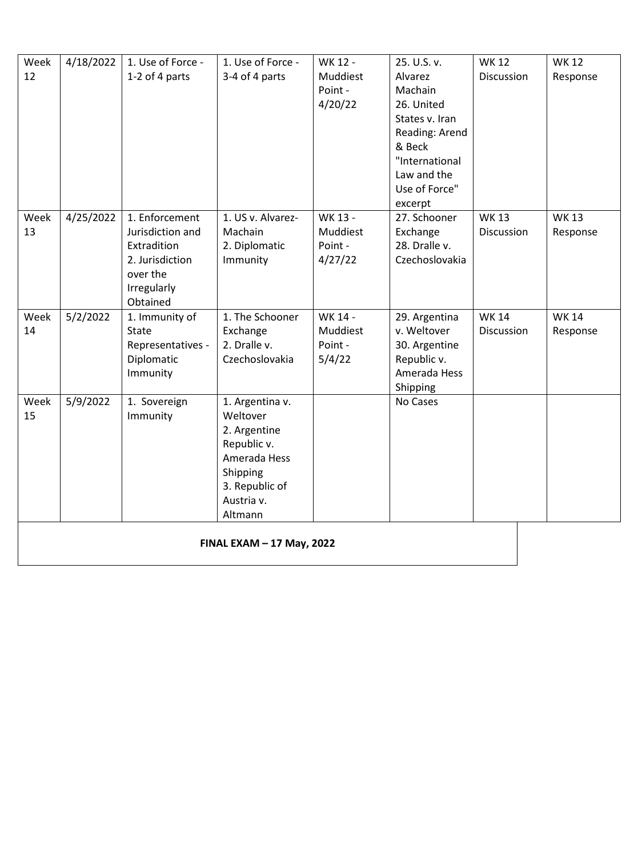| Week | 4/18/2022 | 1. Use of Force -           | 1. Use of Force -         | WK 12 -  | 25. U.S. v.    | <b>WK12</b> | <b>WK12</b> |  |
|------|-----------|-----------------------------|---------------------------|----------|----------------|-------------|-------------|--|
| 12   |           | 1-2 of 4 parts              | 3-4 of 4 parts            | Muddiest | Alvarez        | Discussion  | Response    |  |
|      |           |                             |                           | Point -  | Machain        |             |             |  |
|      |           |                             |                           | 4/20/22  | 26. United     |             |             |  |
|      |           |                             |                           |          | States v. Iran |             |             |  |
|      |           |                             |                           |          | Reading: Arend |             |             |  |
|      |           |                             |                           |          | & Beck         |             |             |  |
|      |           |                             |                           |          | "International |             |             |  |
|      |           |                             |                           |          | Law and the    |             |             |  |
|      |           |                             |                           |          | Use of Force"  |             |             |  |
|      |           |                             |                           |          | excerpt        |             |             |  |
| Week | 4/25/2022 | 1. Enforcement              | 1. US v. Alvarez-         | WK 13 -  | 27. Schooner   | <b>WK13</b> | <b>WK13</b> |  |
| 13   |           | Jurisdiction and            | Machain                   | Muddiest | Exchange       | Discussion  | Response    |  |
|      |           | Extradition                 | 2. Diplomatic             | Point -  | 28. Dralle v.  |             |             |  |
|      |           | 2. Jurisdiction<br>over the | Immunity                  | 4/27/22  | Czechoslovakia |             |             |  |
|      |           | Irregularly                 |                           |          |                |             |             |  |
|      |           | Obtained                    |                           |          |                |             |             |  |
| Week | 5/2/2022  | 1. Immunity of              | 1. The Schooner           | WK 14 -  | 29. Argentina  | <b>WK14</b> | <b>WK14</b> |  |
| 14   |           | State                       | Exchange                  | Muddiest | v. Weltover    | Discussion  | Response    |  |
|      |           | Representatives -           | 2. Dralle v.              | Point -  | 30. Argentine  |             |             |  |
|      |           | Diplomatic                  | Czechoslovakia            | 5/4/22   | Republic v.    |             |             |  |
|      |           | Immunity                    |                           |          | Amerada Hess   |             |             |  |
|      |           |                             |                           |          | Shipping       |             |             |  |
| Week | 5/9/2022  | 1. Sovereign                | 1. Argentina v.           |          | No Cases       |             |             |  |
| 15   |           | Immunity                    | Weltover                  |          |                |             |             |  |
|      |           |                             | 2. Argentine              |          |                |             |             |  |
|      |           |                             | Republic v.               |          |                |             |             |  |
|      |           |                             | Amerada Hess              |          |                |             |             |  |
|      |           |                             | Shipping                  |          |                |             |             |  |
|      |           |                             | 3. Republic of            |          |                |             |             |  |
|      |           |                             | Austria v.                |          |                |             |             |  |
|      |           |                             | Altmann                   |          |                |             |             |  |
|      |           |                             |                           |          |                |             |             |  |
|      |           |                             |                           |          |                |             |             |  |
|      |           |                             | FINAL EXAM - 17 May, 2022 |          |                |             |             |  |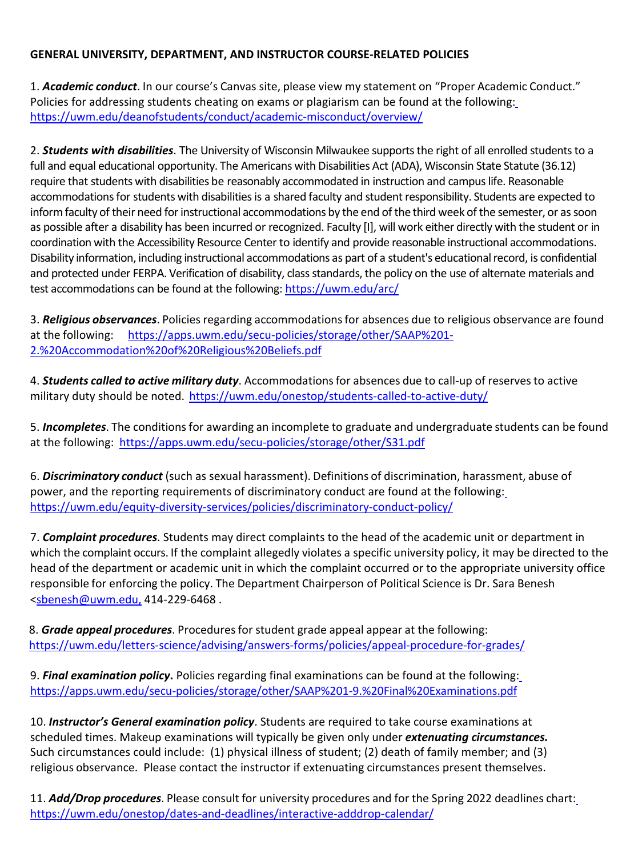# **GENERAL UNIVERSITY, DEPARTMENT, AND INSTRUCTOR COURSE-RELATED POLICIES**

1. *Academic conduct*. In our course's Canvas site, please view my statement on "Proper Academic Conduct." Policies for addressing students cheating on exams or plagiarism can be found at the following: <https://uwm.edu/deanofstudents/conduct/academic-misconduct/overview/>

2. *Students with disabilities*. The University of Wisconsin Milwaukee supports the right of all enrolled students to a full and equal educational opportunity. The Americans with Disabilities Act (ADA), Wisconsin State Statute (36.12) require that students with disabilities be reasonably accommodated in instruction and campus life. Reasonable accommodations for students with disabilities is a shared faculty and student responsibility. Students are expected to inform faculty of their need for instructional accommodations by the end of the third week of the semester, or as soon as possible after a disability has been incurred or recognized. Faculty [I], will work either directly with the student or in coordination with the Accessibility Resource Center to identify and provide reasonable instructional accommodations. Disability information, including instructional accommodations as part of a student's educational record, is confidential and protected under FERPA. Verification of disability, class standards, the policy on the use of alternate materials and test accommodations can be found at the following: <https://uwm.edu/arc/>

3. *Religious observances*. Policies regarding accommodationsfor absences due to religious observance are found at the following: [https://apps.uwm.edu/secu-policies/storage/other/SAAP%201-](https://apps.uwm.edu/secu-policies/storage/other/SAAP%201-2.%20Accommodation%20of%20Religious%20Beliefs.pdf) [2.%20Accommodation%20of%20Religious%20Beliefs.pdf](https://apps.uwm.edu/secu-policies/storage/other/SAAP%201-2.%20Accommodation%20of%20Religious%20Beliefs.pdf)

4. *Students called to active military duty*. Accommodationsfor absences due to call-up of reservesto active military duty should be noted. <https://uwm.edu/onestop/students-called-to-active-duty/>

5. **Incompletes**. The conditions for awarding an incomplete to graduate and undergraduate students can be found at the following: <https://apps.uwm.edu/secu-policies/storage/other/S31.pdf>

6. *Discriminatory conduct* (such as sexual harassment). Definitions of discrimination, harassment, abuse of power, and the reporting requirements of discriminatory conduct are found at the following: https://uwm.edu/equity-diversity-services/policies/discriminatory-conduct-policy/

7. *Complaint procedures*. Students may direct complaints to the head of the academic unit or department in which the complaint occurs. If the complaint allegedly violates a specific university policy, it may be directed to the head of the department or academic unit in which the complaint occurred or to the appropriate university office responsible for enforcing the policy. The Department Chairperson of Political Science is Dr. Sara Benesh [<sbenesh@uwm.edu,](mailto:sbenesh@uwm.edu) 414-229-6468 .

8. **Grade appeal procedures**. Procedures for student grade appeal appear at the following: https://uwm.edu/letters-science/advising/answers-forms/policies/appeal-procedure-for-grades/

9. *Final examination policy***.** Policies regarding final examinations can be found at the following: <https://apps.uwm.edu/secu-policies/storage/other/SAAP%201-9.%20Final%20Examinations.pdf>

10. *Instructor's General examination policy*. Students are required to take course examinations at scheduled times. Makeup examinations will typically be given only under *extenuating circumstances.* Such circumstances could include: (1) physical illness of student; (2) death of family member; and (3) religious observance. Please contact the instructor if extenuating circumstances present themselves.

11. *Add/Drop procedures*. Please consult for university procedures and for the Spring 2022 deadlines chart: <https://uwm.edu/onestop/dates-and-deadlines/interactive-adddrop-calendar/>